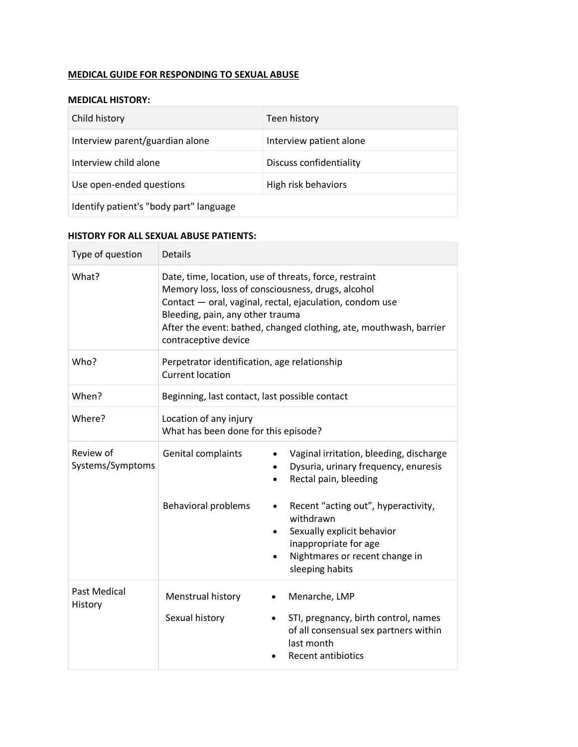## **MEDICAL GUIDE FOR RESPONDING TO SEXUAL ABUSE**

#### **MEDICAL HISTORY:**

| Child history                           | Teen history            |  |
|-----------------------------------------|-------------------------|--|
| Interview parent/guardian alone         | Interview patient alone |  |
| Interview child alone                   | Discuss confidentiality |  |
| Use open-ended questions                | High risk behaviors     |  |
| Identify patient's "body part" language |                         |  |

### **HISTORY FOR ALL SEXUAL ABUSE PATIENTS:**

| Type of question              | <b>Details</b>                                                                                                                                                                                                                                                                                             |                                                                                                                                                                                                                                                                          |  |
|-------------------------------|------------------------------------------------------------------------------------------------------------------------------------------------------------------------------------------------------------------------------------------------------------------------------------------------------------|--------------------------------------------------------------------------------------------------------------------------------------------------------------------------------------------------------------------------------------------------------------------------|--|
| What?                         | Date, time, location, use of threats, force, restraint<br>Memory loss, loss of consciousness, drugs, alcohol<br>Contact - oral, vaginal, rectal, ejaculation, condom use<br>Bleeding, pain, any other trauma<br>After the event: bathed, changed clothing, ate, mouthwash, barrier<br>contraceptive device |                                                                                                                                                                                                                                                                          |  |
| Who?                          | Perpetrator identification, age relationship<br><b>Current location</b>                                                                                                                                                                                                                                    |                                                                                                                                                                                                                                                                          |  |
| When?                         | Beginning, last contact, last possible contact                                                                                                                                                                                                                                                             |                                                                                                                                                                                                                                                                          |  |
| Where?                        | Location of any injury<br>What has been done for this episode?                                                                                                                                                                                                                                             |                                                                                                                                                                                                                                                                          |  |
| Review of<br>Systems/Symptoms | Genital complaints<br><b>Behavioral problems</b>                                                                                                                                                                                                                                                           | Vaginal irritation, bleeding, discharge<br>Dysuria, urinary frequency, enuresis<br>Rectal pain, bleeding<br>Recent "acting out", hyperactivity,<br>withdrawn<br>Sexually explicit behavior<br>inappropriate for age<br>Nightmares or recent change in<br>sleeping habits |  |
| Past Medical<br>History       | Menstrual history<br>Sexual history                                                                                                                                                                                                                                                                        | Menarche, LMP<br>STI, pregnancy, birth control, names<br>$\bullet$<br>of all consensual sex partners within<br>last month<br><b>Recent antibiotics</b>                                                                                                                   |  |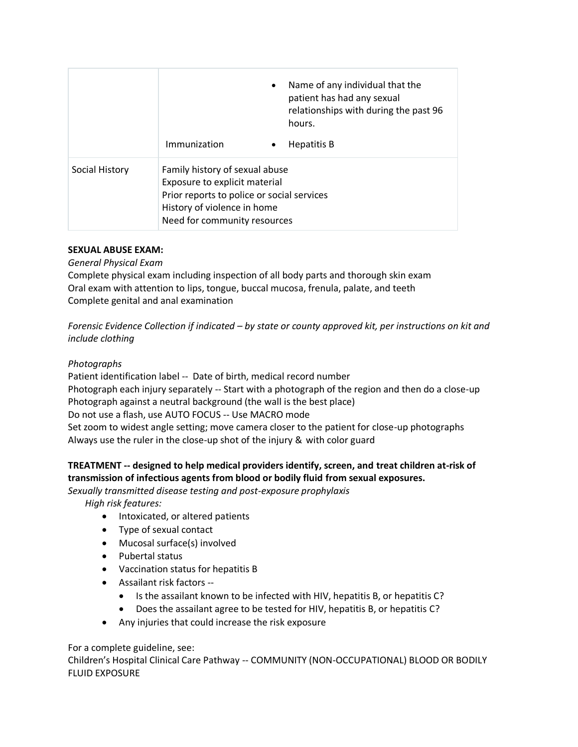|                | $\bullet$                                                                                                                                                                    | Name of any individual that the<br>patient has had any sexual<br>relationships with during the past 96<br>hours. |
|----------------|------------------------------------------------------------------------------------------------------------------------------------------------------------------------------|------------------------------------------------------------------------------------------------------------------|
|                | Immunization<br>$\bullet$                                                                                                                                                    | Hepatitis B                                                                                                      |
| Social History | Family history of sexual abuse<br>Exposure to explicit material<br>Prior reports to police or social services<br>History of violence in home<br>Need for community resources |                                                                                                                  |

#### **SEXUAL ABUSE EXAM:**

*General Physical Exam*

Complete physical exam including inspection of all body parts and thorough skin exam Oral exam with attention to lips, tongue, buccal mucosa, frenula, palate, and teeth Complete genital and anal examination

*Forensic Evidence Collection if indicated – by state or county approved kit, per instructions on kit and include clothing*

## *Photographs*

Patient identification label -- Date of birth, medical record number Photograph each injury separately -- Start with a photograph of the region and then do a close-up Photograph against a neutral background (the wall is the best place) Do not use a flash, use AUTO FOCUS -- Use MACRO mode Set zoom to widest angle setting; move camera closer to the patient for close-up photographs Always use the ruler in the close-up shot of the injury & with color guard

## **TREATMENT -- designed to help medical providers identify, screen, and treat children at-risk of transmission of infectious agents from blood or bodily fluid from sexual exposures.**

*Sexually transmitted disease testing and post-exposure prophylaxis*

*High risk features:*

- Intoxicated, or altered patients
- Type of sexual contact
- Mucosal surface(s) involved
- Pubertal status
- Vaccination status for hepatitis B
- Assailant risk factors --
	- Is the assailant known to be infected with HIV, hepatitis B, or hepatitis C?
	- Does the assailant agree to be tested for HIV, hepatitis B, or hepatitis C?
- Any injuries that could increase the risk exposure

For a complete guideline, see:

Children's Hospital Clinical Care Pathway -- COMMUNITY (NON-OCCUPATIONAL) BLOOD OR BODILY FLUID EXPOSURE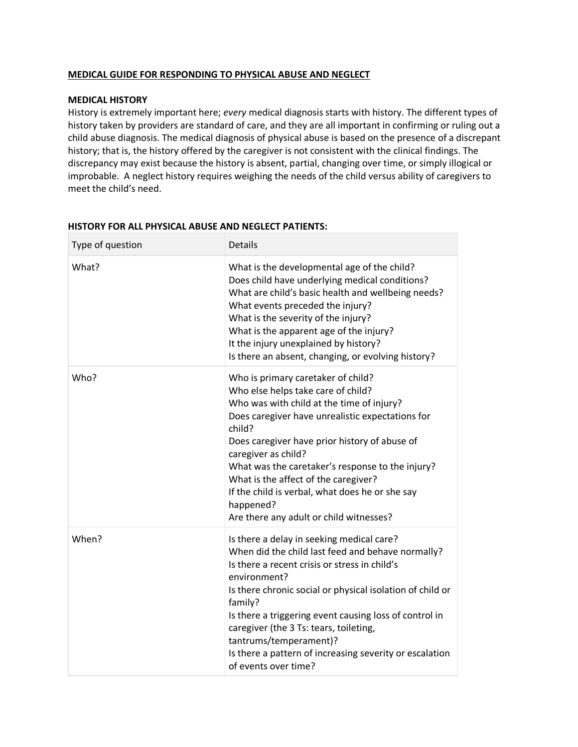#### **MEDICAL GUIDE FOR RESPONDING TO PHYSICAL ABUSE AND NEGLECT**

#### **MEDICAL HISTORY**

History is extremely important here; *every* medical diagnosis starts with history. The different types of history taken by providers are standard of care, and they are all important in confirming or ruling out a child abuse diagnosis. The medical diagnosis of physical abuse is based on the presence of a discrepant history; that is, the history offered by the caregiver is not consistent with the clinical findings. The discrepancy may exist because the history is absent, partial, changing over time, or simply illogical or improbable. A neglect history requires weighing the needs of the child versus ability of caregivers to meet the child's need.

| Type of question | <b>Details</b>                                                                                                                                                                                                                                                                                                                                                                                                                                                     |
|------------------|--------------------------------------------------------------------------------------------------------------------------------------------------------------------------------------------------------------------------------------------------------------------------------------------------------------------------------------------------------------------------------------------------------------------------------------------------------------------|
| What?            | What is the developmental age of the child?<br>Does child have underlying medical conditions?<br>What are child's basic health and wellbeing needs?<br>What events preceded the injury?<br>What is the severity of the injury?<br>What is the apparent age of the injury?<br>It the injury unexplained by history?<br>Is there an absent, changing, or evolving history?                                                                                           |
| Who?             | Who is primary caretaker of child?<br>Who else helps take care of child?<br>Who was with child at the time of injury?<br>Does caregiver have unrealistic expectations for<br>child?<br>Does caregiver have prior history of abuse of<br>caregiver as child?<br>What was the caretaker's response to the injury?<br>What is the affect of the caregiver?<br>If the child is verbal, what does he or she say<br>happened?<br>Are there any adult or child witnesses? |
| When?            | Is there a delay in seeking medical care?<br>When did the child last feed and behave normally?<br>Is there a recent crisis or stress in child's<br>environment?<br>Is there chronic social or physical isolation of child or<br>family?<br>Is there a triggering event causing loss of control in<br>caregiver (the 3 Ts: tears, toileting,<br>tantrums/temperament)?<br>Is there a pattern of increasing severity or escalation<br>of events over time?           |

#### **HISTORY FOR ALL PHYSICAL ABUSE AND NEGLECT PATIENTS:**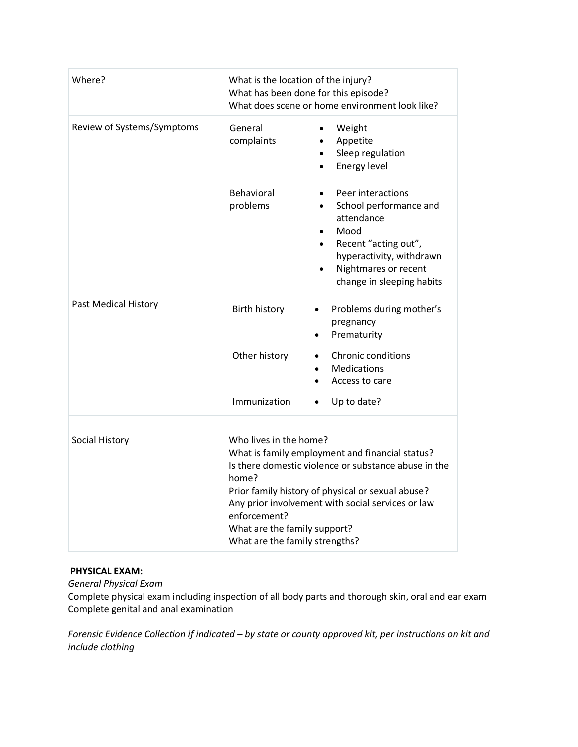| Where?                     | What is the location of the injury?<br>What has been done for this episode?<br>What does scene or home environment look like?                                                                                                                                                                                                          |                                                                                                                                                                                                                   |  |
|----------------------------|----------------------------------------------------------------------------------------------------------------------------------------------------------------------------------------------------------------------------------------------------------------------------------------------------------------------------------------|-------------------------------------------------------------------------------------------------------------------------------------------------------------------------------------------------------------------|--|
| Review of Systems/Symptoms | General<br>complaints                                                                                                                                                                                                                                                                                                                  | Weight<br>Appetite<br>$\bullet$<br>Sleep regulation<br>$\bullet$<br>Energy level<br>$\bullet$                                                                                                                     |  |
|                            | Behavioral<br>problems                                                                                                                                                                                                                                                                                                                 | Peer interactions<br>School performance and<br>$\bullet$<br>attendance<br>Mood<br>$\bullet$<br>Recent "acting out",<br>$\bullet$<br>hyperactivity, withdrawn<br>Nightmares or recent<br>change in sleeping habits |  |
| Past Medical History       | <b>Birth history</b>                                                                                                                                                                                                                                                                                                                   | Problems during mother's<br>$\bullet$<br>pregnancy<br>Prematurity                                                                                                                                                 |  |
|                            | Other history                                                                                                                                                                                                                                                                                                                          | <b>Chronic conditions</b><br><b>Medications</b><br>Access to care                                                                                                                                                 |  |
|                            | Immunization                                                                                                                                                                                                                                                                                                                           | Up to date?                                                                                                                                                                                                       |  |
| Social History             | Who lives in the home?<br>What is family employment and financial status?<br>Is there domestic violence or substance abuse in the<br>home?<br>Prior family history of physical or sexual abuse?<br>Any prior involvement with social services or law<br>enforcement?<br>What are the family support?<br>What are the family strengths? |                                                                                                                                                                                                                   |  |

### **PHYSICAL EXAM:**

*General Physical Exam*

Complete physical exam including inspection of all body parts and thorough skin, oral and ear exam Complete genital and anal examination

*Forensic Evidence Collection if indicated – by state or county approved kit, per instructions on kit and include clothing*